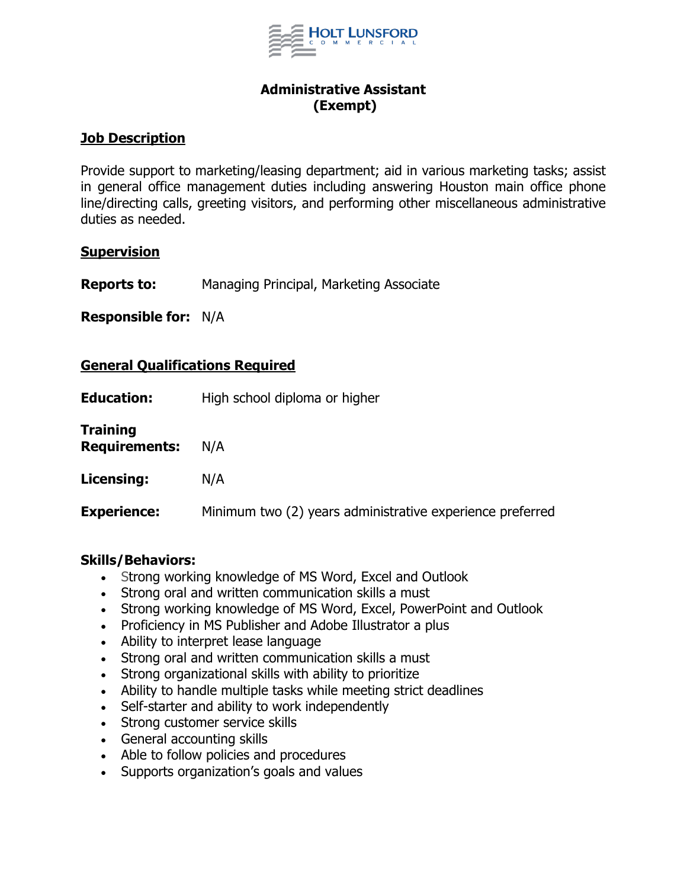

### **Administrative Assistant (Exempt)**

### **Job Description**

Provide support to marketing/leasing department; aid in various marketing tasks; assist in general office management duties including answering Houston main office phone line/directing calls, greeting visitors, and performing other miscellaneous administrative duties as needed.

#### **Supervision**

**Reports to:** Managing Principal, Marketing Associate

**Responsible for:** N/A

### **General Qualifications Required**

| <b>Education:</b>                       | High school diploma or higher                             |
|-----------------------------------------|-----------------------------------------------------------|
| <b>Training</b><br><b>Requirements:</b> | N/A                                                       |
| Licensing:                              | N/A                                                       |
| <b>Experience:</b>                      | Minimum two (2) years administrative experience preferred |

#### **Skills/Behaviors:**

- Strong working knowledge of MS Word, Excel and Outlook
- Strong oral and written communication skills a must
- Strong working knowledge of MS Word, Excel, PowerPoint and Outlook
- Proficiency in MS Publisher and Adobe Illustrator a plus
- Ability to interpret lease language
- Strong oral and written communication skills a must
- Strong organizational skills with ability to prioritize
- Ability to handle multiple tasks while meeting strict deadlines
- Self-starter and ability to work independently
- Strong customer service skills
- General accounting skills
- Able to follow policies and procedures
- Supports organization's goals and values